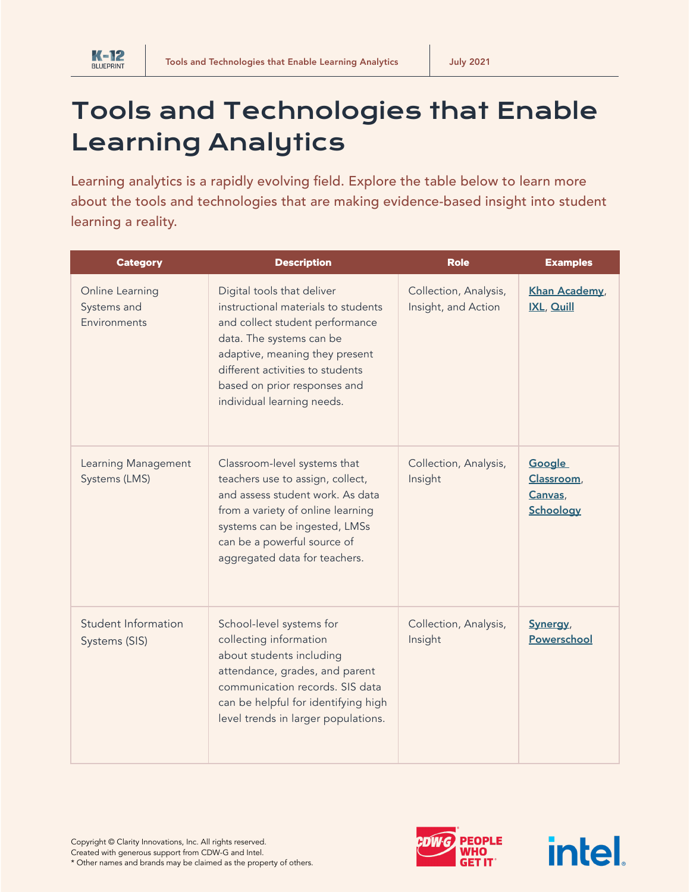

## Tools and Technologies that Enable Learning Analytics

Learning analytics is a rapidly evolving field. Explore the table below to learn more about the tools and technologies that are making evidence-based insight into student learning a reality.

| <b>Category</b>                                | <b>Description</b>                                                                                                                                                                                                                                                   | <b>Role</b>                                  | <b>Examples</b>                              |
|------------------------------------------------|----------------------------------------------------------------------------------------------------------------------------------------------------------------------------------------------------------------------------------------------------------------------|----------------------------------------------|----------------------------------------------|
| Online Learning<br>Systems and<br>Environments | Digital tools that deliver<br>instructional materials to students<br>and collect student performance<br>data. The systems can be<br>adaptive, meaning they present<br>different activities to students<br>based on prior responses and<br>individual learning needs. | Collection, Analysis,<br>Insight, and Action | Khan Academy,<br>IXL, Quill                  |
| Learning Management<br>Systems (LMS)           | Classroom-level systems that<br>teachers use to assign, collect,<br>and assess student work. As data<br>from a variety of online learning<br>systems can be ingested, LMSs<br>can be a powerful source of<br>aggregated data for teachers.                           | Collection, Analysis,<br>Insight             | Google<br>Classroom,<br>Canvas,<br>Schoology |
| Student Information<br>Systems (SIS)           | School-level systems for<br>collecting information<br>about students including<br>attendance, grades, and parent<br>communication records. SIS data<br>can be helpful for identifying high<br>level trends in larger populations.                                    | Collection, Analysis,<br>Insight             | Synergy,<br>Powerschool                      |